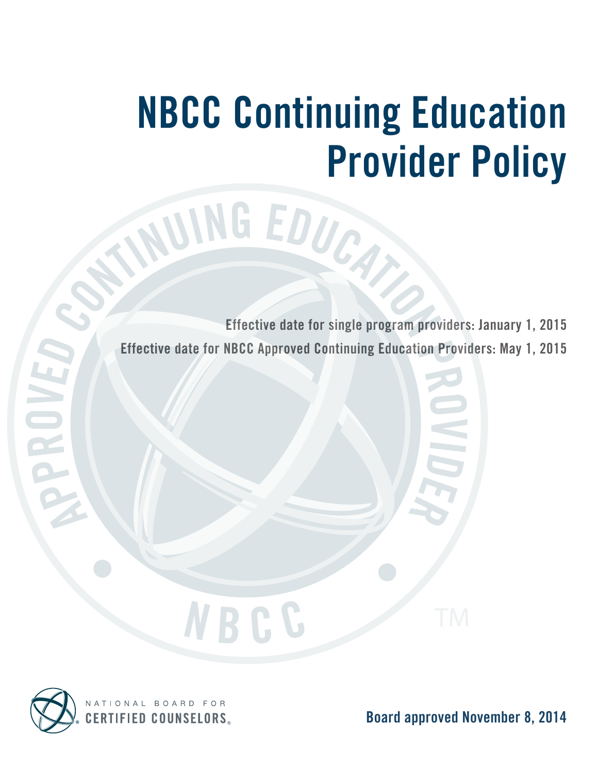# **NBCC Continuing Education Provider Policy**

**Effective date for single program providers: January 1, 2015 Effective date for NBCC Approved Continuing Education Providers: May 1, 2015**

NUME EDUCA

NBCC



**Board approved November 8, 2014**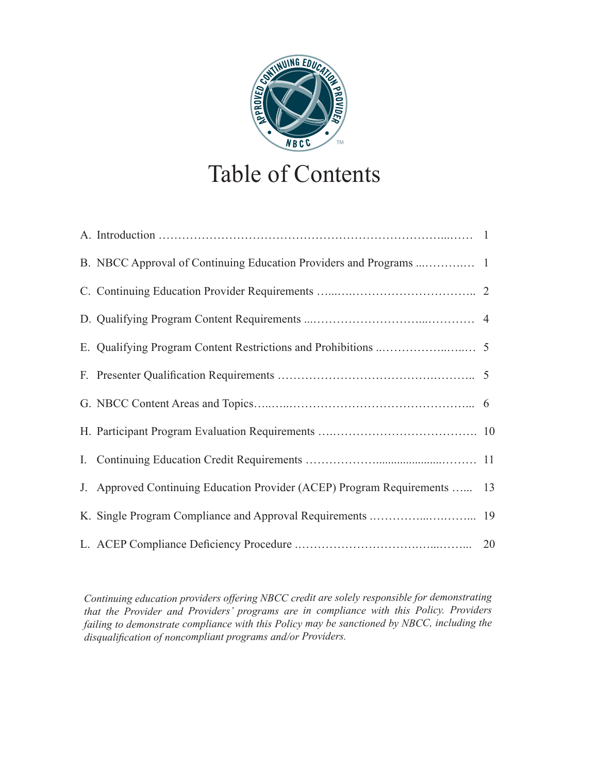

# Table of Contents

| J. Approved Continuing Education Provider (ACEP) Program Requirements  13 |  |
|---------------------------------------------------------------------------|--|
|                                                                           |  |
|                                                                           |  |

*Continuing education providers offering NBCC credit are solely responsible for demonstrating that the Provider and Providers' programs are in compliance with this Policy. Providers*  failing to demonstrate compliance with this Policy may be sanctioned by NBCC, including the *disqualification of noncompliant programs and/or Providers.*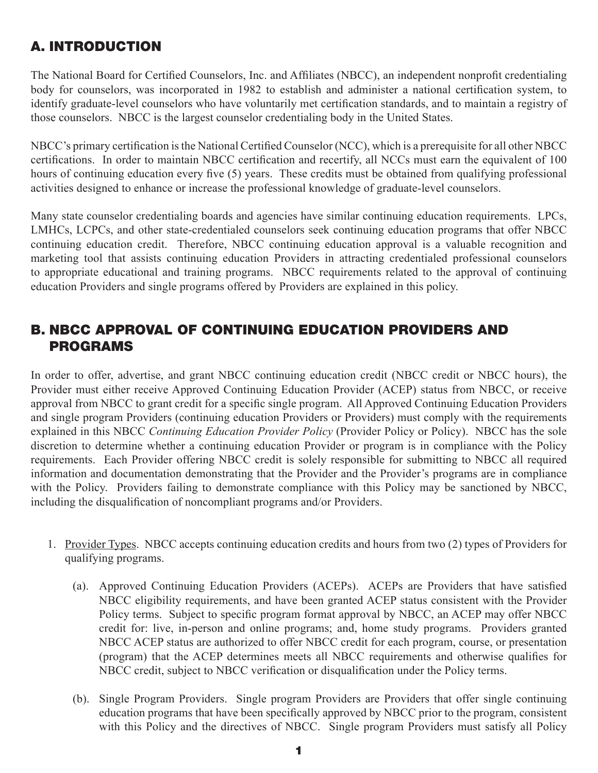# <span id="page-2-0"></span>A. INTRODUCTION

The National Board for Certified Counselors, Inc. and Affiliates (NBCC), an independent nonprofit credentialing body for counselors, was incorporated in 1982 to establish and administer a national certification system, to identify graduate-level counselors who have voluntarily met certification standards, and to maintain a registry of those counselors. NBCC is the largest counselor credentialing body in the United States.

NBCC's primary certification isthe National Certified Counselor (NCC), which is a prerequisite for all other NBCC certifications. In order to maintain NBCC certification and recertify, all NCCs must earn the equivalent of 100 hours of continuing education every five (5) years. These credits must be obtained from qualifying professional activities designed to enhance or increase the professional knowledge of graduate-level counselors.

Many state counselor credentialing boards and agencies have similar continuing education requirements. LPCs, LMHCs, LCPCs, and other state-credentialed counselors seek continuing education programs that offer NBCC continuing education credit. Therefore, NBCC continuing education approval is a valuable recognition and marketing tool that assists continuing education Providers in attracting credentialed professional counselors to appropriate educational and training programs. NBCC requirements related to the approval of continuing education Providers and single programs offered by Providers are explained in this policy.

### B. NBCC APPROVAL OF CONTINUING EDUCATION PROVIDERS AND PROGRAMS

In order to offer, advertise, and grant NBCC continuing education credit (NBCC credit or NBCC hours), the Provider must either receive Approved Continuing Education Provider (ACEP) status from NBCC, or receive approval from NBCC to grant credit for a specific single program. All Approved Continuing Education Providers and single program Providers (continuing education Providers or Providers) must comply with the requirements explained in this NBCC *Continuing Education Provider Policy* (Provider Policy or Policy). NBCC has the sole discretion to determine whether a continuing education Provider or program is in compliance with the Policy requirements. Each Provider offering NBCC credit is solely responsible for submitting to NBCC all required information and documentation demonstrating that the Provider and the Provider's programs are in compliance with the Policy. Providers failing to demonstrate compliance with this Policy may be sanctioned by NBCC, including the disqualification of noncompliant programs and/or Providers.

- 1. Provider Types. NBCC accepts continuing education credits and hours from two (2) types of Providers for qualifying programs.
	- (a). Approved Continuing Education Providers (ACEPs). ACEPs are Providers that have satisfied NBCC eligibility requirements, and have been granted ACEP status consistent with the Provider Policy terms. Subject to specific program format approval by NBCC, an ACEP may offer NBCC credit for: live, in-person and online programs; and, home study programs. Providers granted NBCC ACEP status are authorized to offer NBCC credit for each program, course, or presentation (program) that the ACEP determines meets all NBCC requirements and otherwise qualifies for NBCC credit, subject to NBCC verification or disqualification under the Policy terms.
	- (b). Single Program Providers. Single program Providers are Providers that offer single continuing education programs that have been specifically approved by NBCC prior to the program, consistent with this Policy and the directives of NBCC. Single program Providers must satisfy all Policy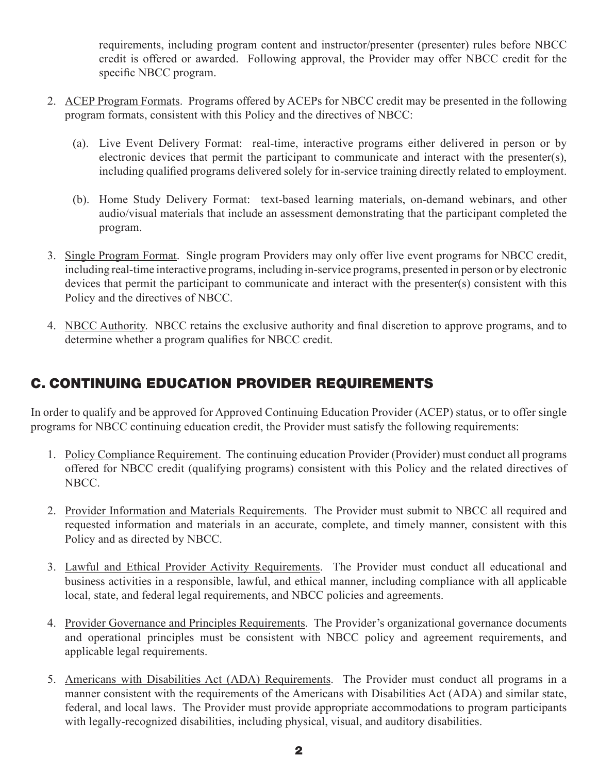<span id="page-3-0"></span>requirements, including program content and instructor/presenter (presenter) rules before NBCC credit is offered or awarded. Following approval, the Provider may offer NBCC credit for the specific NBCC program.

- 2. ACEP Program Formats. Programs offered by ACEPs for NBCC credit may be presented in the following program formats, consistent with this Policy and the directives of NBCC:
	- (a). Live Event Delivery Format: real-time, interactive programs either delivered in person or by electronic devices that permit the participant to communicate and interact with the presenter(s), including qualified programs delivered solely for in-service training directly related to employment.
	- (b). Home Study Delivery Format: text-based learning materials, on-demand webinars, and other audio/visual materials that include an assessment demonstrating that the participant completed the program.
- 3. Single Program Format. Single program Providers may only offer live event programs for NBCC credit, including real-time interactive programs, including in-service programs, presented in person or by electronic devices that permit the participant to communicate and interact with the presenter(s) consistent with this Policy and the directives of NBCC.
- 4. NBCC Authority. NBCC retains the exclusive authority and final discretion to approve programs, and to determine whether a program qualifies for NBCC credit.

# C. CONTINUING EDUCATION PROVIDER REQUIREMENTS

In order to qualify and be approved for Approved Continuing Education Provider (ACEP) status, or to offer single programs for NBCC continuing education credit, the Provider must satisfy the following requirements:

- 1. Policy Compliance Requirement. The continuing education Provider (Provider) must conduct all programs offered for NBCC credit (qualifying programs) consistent with this Policy and the related directives of NBCC.
- 2. Provider Information and Materials Requirements. The Provider must submit to NBCC all required and requested information and materials in an accurate, complete, and timely manner, consistent with this Policy and as directed by NBCC.
- 3. Lawful and Ethical Provider Activity Requirements. The Provider must conduct all educational and business activities in a responsible, lawful, and ethical manner, including compliance with all applicable local, state, and federal legal requirements, and NBCC policies and agreements.
- 4. Provider Governance and Principles Requirements. The Provider's organizational governance documents and operational principles must be consistent with NBCC policy and agreement requirements, and applicable legal requirements.
- 5. Americans with Disabilities Act (ADA) Requirements. The Provider must conduct all programs in a manner consistent with the requirements of the Americans with Disabilities Act (ADA) and similar state, federal, and local laws. The Provider must provide appropriate accommodations to program participants with legally-recognized disabilities, including physical, visual, and auditory disabilities.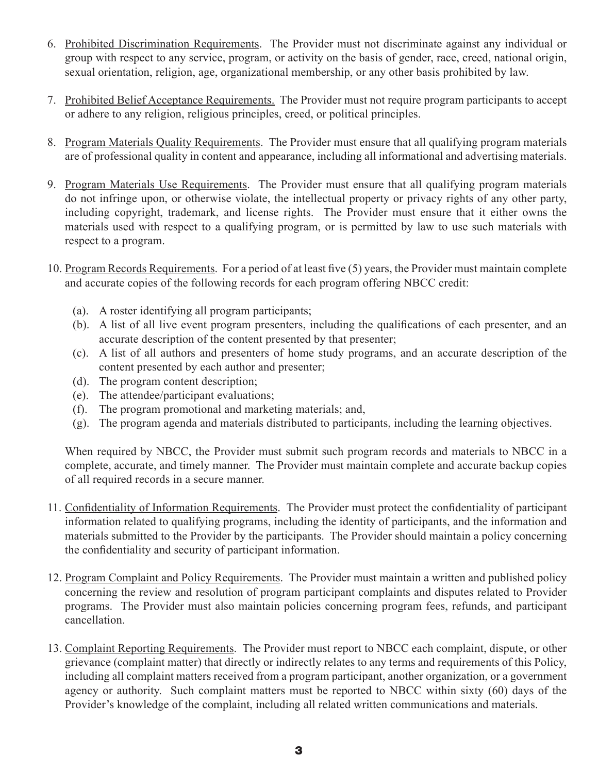- 6. Prohibited Discrimination Requirements. The Provider must not discriminate against any individual or group with respect to any service, program, or activity on the basis of gender, race, creed, national origin, sexual orientation, religion, age, organizational membership, or any other basis prohibited by law.
- 7. Prohibited Belief Acceptance Requirements. The Provider must not require program participants to accept or adhere to any religion, religious principles, creed, or political principles.
- 8. Program Materials Quality Requirements. The Provider must ensure that all qualifying program materials are of professional quality in content and appearance, including all informational and advertising materials.
- 9. Program Materials Use Requirements. The Provider must ensure that all qualifying program materials do not infringe upon, or otherwise violate, the intellectual property or privacy rights of any other party, including copyright, trademark, and license rights. The Provider must ensure that it either owns the materials used with respect to a qualifying program, or is permitted by law to use such materials with respect to a program.
- 10. Program Records Requirements. For a period of at least five (5) years, the Provider must maintain complete and accurate copies of the following records for each program offering NBCC credit:
	- (a). A roster identifying all program participants;
	- (b). A list of all live event program presenters, including the qualifications of each presenter, and an accurate description of the content presented by that presenter;
	- (c). A list of all authors and presenters of home study programs, and an accurate description of the content presented by each author and presenter;
	- (d). The program content description;
	- (e). The attendee/participant evaluations;
	- (f). The program promotional and marketing materials; and,
	- (g). The program agenda and materials distributed to participants, including the learning objectives.

 When required by NBCC, the Provider must submit such program records and materials to NBCC in a complete, accurate, and timely manner. The Provider must maintain complete and accurate backup copies of all required records in a secure manner.

- 11. Confidentiality of Information Requirements. The Provider must protect the confidentiality of participant information related to qualifying programs, including the identity of participants, and the information and materials submitted to the Provider by the participants. The Provider should maintain a policy concerning the confidentiality and security of participant information.
- 12. Program Complaint and Policy Requirements. The Provider must maintain a written and published policy concerning the review and resolution of program participant complaints and disputes related to Provider programs. The Provider must also maintain policies concerning program fees, refunds, and participant cancellation.
- 13. Complaint Reporting Requirements. The Provider must report to NBCC each complaint, dispute, or other grievance (complaint matter) that directly or indirectly relates to any terms and requirements of this Policy, including all complaint matters received from a program participant, another organization, or a government agency or authority. Such complaint matters must be reported to NBCC within sixty (60) days of the Provider's knowledge of the complaint, including all related written communications and materials.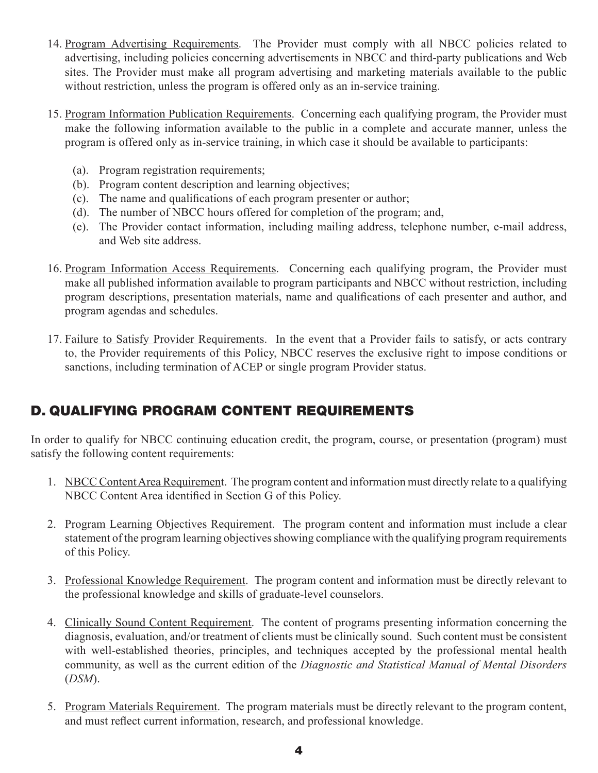- <span id="page-5-0"></span>14. Program Advertising Requirements. The Provider must comply with all NBCC policies related to advertising, including policies concerning advertisements in NBCC and third-party publications and Web sites. The Provider must make all program advertising and marketing materials available to the public without restriction, unless the program is offered only as an in-service training.
- 15. Program Information Publication Requirements. Concerning each qualifying program, the Provider must make the following information available to the public in a complete and accurate manner, unless the program is offered only as in-service training, in which case it should be available to participants:
	- (a). Program registration requirements;
	- (b). Program content description and learning objectives;
	- (c). The name and qualifications of each program presenter or author;
	- (d). The number of NBCC hours offered for completion of the program; and,
	- (e). The Provider contact information, including mailing address, telephone number, e-mail address, and Web site address.
- 16. Program Information Access Requirements. Concerning each qualifying program, the Provider must make all published information available to program participants and NBCC without restriction, including program descriptions, presentation materials, name and qualifications of each presenter and author, and program agendas and schedules.
- 17. Failure to Satisfy Provider Requirements. In the event that a Provider fails to satisfy, or acts contrary to, the Provider requirements of this Policy, NBCC reserves the exclusive right to impose conditions or sanctions, including termination of ACEP or single program Provider status.

# D. QUALIFYING PROGRAM CONTENT REQUIREMENTS

In order to qualify for NBCC continuing education credit, the program, course, or presentation (program) must satisfy the following content requirements:

- 1. NBCC Content Area Requirement. The program content and information must directly relate to a qualifying NBCC Content Area identified in Section G of this Policy.
- 2. Program Learning Objectives Requirement. The program content and information must include a clear statement of the program learning objectives showing compliance with the qualifying program requirements of this Policy.
- 3. Professional Knowledge Requirement. The program content and information must be directly relevant to the professional knowledge and skills of graduate-level counselors.
- 4. Clinically Sound Content Requirement. The content of programs presenting information concerning the diagnosis, evaluation, and/or treatment of clients must be clinically sound. Such content must be consistent with well-established theories, principles, and techniques accepted by the professional mental health community, as well as the current edition of the *Diagnostic and Statistical Manual of Mental Disorders* (*DSM*).
- 5. Program Materials Requirement. The program materials must be directly relevant to the program content, and must reflect current information, research, and professional knowledge.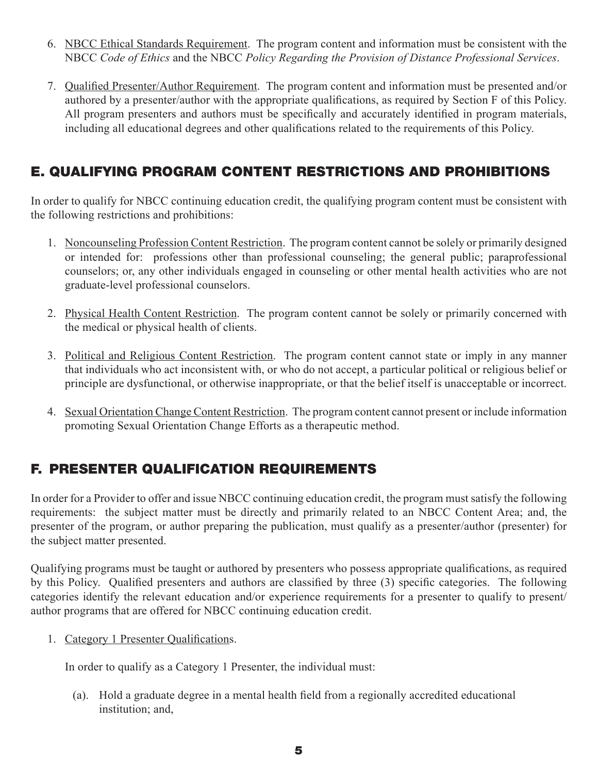- <span id="page-6-0"></span>6. NBCC Ethical Standards Requirement. The program content and information must be consistent with the NBCC *Code of Ethics* and the NBCC *Policy Regarding the Provision of Distance Professional Services*.
- 7. Qualified Presenter/Author Requirement. The program content and information must be presented and/or authored by a presenter/author with the appropriate qualifications, as required by Section F of this Policy. All program presenters and authors must be specifically and accurately identified in program materials, including all educational degrees and other qualifications related to the requirements of this Policy.

# E. QUALIFYING PROGRAM CONTENT RESTRICTIONS AND PROHIBITIONS

In order to qualify for NBCC continuing education credit, the qualifying program content must be consistent with the following restrictions and prohibitions:

- 1. Noncounseling Profession Content Restriction. The program content cannot be solely or primarily designed or intended for: professions other than professional counseling; the general public; paraprofessional counselors; or, any other individuals engaged in counseling or other mental health activities who are not graduate-level professional counselors.
- 2. Physical Health Content Restriction. The program content cannot be solely or primarily concerned with the medical or physical health of clients.
- 3. Political and Religious Content Restriction. The program content cannot state or imply in any manner that individuals who act inconsistent with, or who do not accept, a particular political or religious belief or principle are dysfunctional, or otherwise inappropriate, or that the belief itself is unacceptable or incorrect.
- 4. Sexual Orientation Change Content Restriction. The program content cannot present or include information promoting Sexual Orientation Change Efforts as a therapeutic method.

# F. PRESENTER QUALIFICATION REQUIREMENTS

In order for a Provider to offer and issue NBCC continuing education credit, the program must satisfy the following requirements: the subject matter must be directly and primarily related to an NBCC Content Area; and, the presenter of the program, or author preparing the publication, must qualify as a presenter/author (presenter) for the subject matter presented.

Qualifying programs must be taught or authored by presenters who possess appropriate qualifications, as required by this Policy. Qualified presenters and authors are classified by three (3) specific categories. The following categories identify the relevant education and/or experience requirements for a presenter to qualify to present/ author programs that are offered for NBCC continuing education credit.

1. Category 1 Presenter Qualifications.

 In order to qualify as a Category 1 Presenter, the individual must:

(a). Hold a graduate degree in a mental health field from a regionally accredited educational institution; and,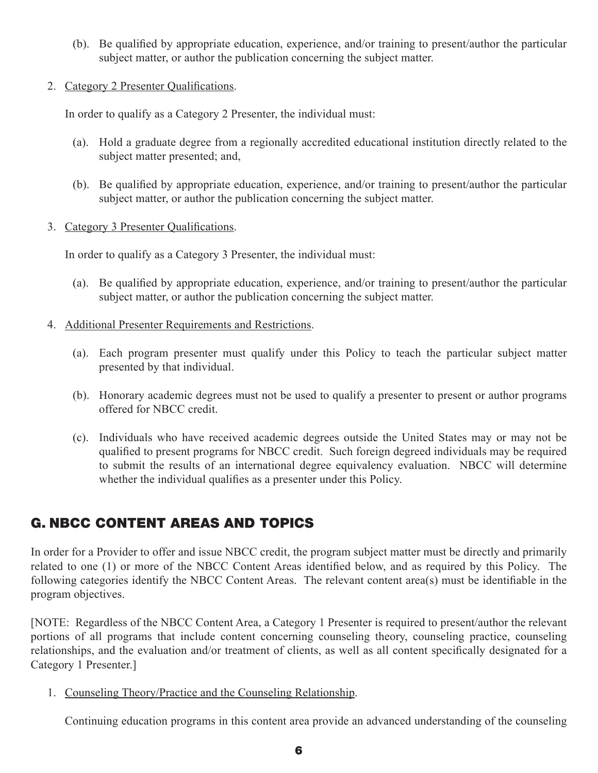<span id="page-7-0"></span>(b). Be qualified by appropriate education, experience, and/or training to present/author the particular subject matter, or author the publication concerning the subject matter.

#### 2. Category 2 Presenter Qualifications.

 In order to qualify as a Category 2 Presenter, the individual must:

- (a). Hold a graduate degree from a regionally accredited educational institution directly related to the subject matter presented; and,
- (b). Be qualified by appropriate education, experience, and/or training to present/author the particular subject matter, or author the publication concerning the subject matter.
- 3. Category 3 Presenter Qualifications.

 In order to qualify as a Category 3 Presenter, the individual must:

- (a). Be qualified by appropriate education, experience, and/or training to present/author the particular subject matter, or author the publication concerning the subject matter.
- 4. Additional Presenter Requirements and Restrictions.
	- (a). Each program presenter must qualify under this Policy to teach the particular subject matter presented by that individual.
	- (b). Honorary academic degrees must not be used to qualify a presenter to present or author programs offered for NBCC credit.
	- (c). Individuals who have received academic degrees outside the United States may or may not be qualified to present programs for NBCC credit. Such foreign degreed individuals may be required to submit the results of an international degree equivalency evaluation. NBCC will determine whether the individual qualifies as a presenter under this Policy.

# G. NBCC CONTENT AREAS AND TOPICS

In order for a Provider to offer and issue NBCC credit, the program subject matter must be directly and primarily related to one (1) or more of the NBCC Content Areas identified below, and as required by this Policy. The following categories identify the NBCC Content Areas. The relevant content area(s) must be identifiable in the program objectives.

[NOTE: Regardless of the NBCC Content Area, a Category 1 Presenter is required to present/author the relevant portions of all programs that include content concerning counseling theory, counseling practice, counseling relationships, and the evaluation and/or treatment of clients, as well as all content specifically designated for a Category 1 Presenter.]

1. Counseling Theory/Practice and the Counseling Relationship.

Continuing education programs in this content area provide an advanced understanding of the counseling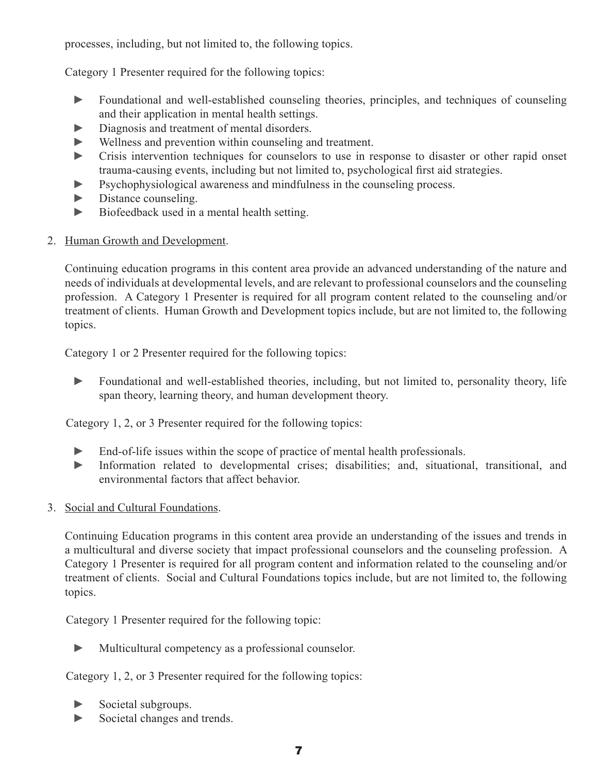processes, including, but not limited to, the following topics.

 Category 1 Presenter required for the following topics:

- ► Foundational and well-established counseling theories, principles, and techniques of counseling and their application in mental health settings.
- ► Diagnosis and treatment of mental disorders.
- ► Wellness and prevention within counseling and treatment.
- ► Crisis intervention techniques for counselors to use in response to disaster or other rapid onset trauma-causing events, including but not limited to, psychological first aid strategies.
- ► Psychophysiological awareness and mindfulness in the counseling process.
- ► Distance counseling.
- ► Biofeedback used in a mental health setting.
- 2. Human Growth and Development.

Continuing education programs in this content area provide an advanced understanding of the nature and needs of individuals at developmental levels, and are relevant to professional counselors and the counseling profession. A Category 1 Presenter is required for all program content related to the counseling and/or treatment of clients. Human Growth and Development topics include, but are not limited to, the following topics.

 Category 1 or 2 Presenter required for the following topics:

► Foundational and well-established theories, including, but not limited to, personality theory, life span theory, learning theory, and human development theory.

 Category 1, 2, or 3 Presenter required for the following topics:

- $\blacktriangleright$  End-of-life issues within the scope of practice of mental health professionals.
- ▶ Information related to developmental crises; disabilities; and, situational, transitional, and environmental factors that affect behavior.
- 3. Social and Cultural Foundations.

Continuing Education programs in this content area provide an understanding of the issues and trends in a multicultural and diverse society that impact professional counselors and the counseling profession. A Category 1 Presenter is required for all program content and information related to the counseling and/or treatment of clients. Social and Cultural Foundations topics include, but are not limited to, the following topics.

 Category 1 Presenter required for the following topic:

► Multicultural competency as a professional counselor.

 Category 1, 2, or 3 Presenter required for the following topics:

- ► Societal subgroups.
- ► Societal changes and trends.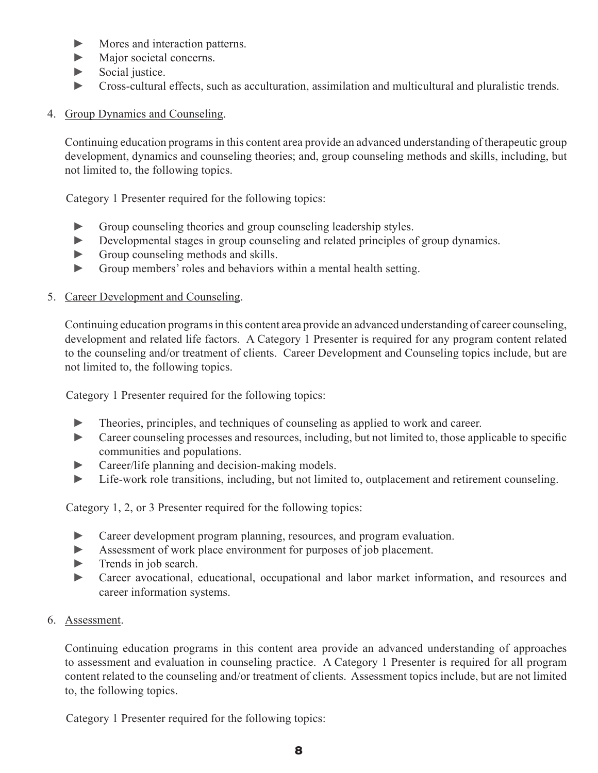- ► Mores and interaction patterns.
- ► Major societal concerns.
- $\blacktriangleright$  Social justice.
- ► Cross-cultural effects, such as acculturation, assimilation and multicultural and pluralistic trends.
- 4. Group Dynamics and Counseling.

Continuing education programs in this content area provide an advanced understanding of therapeutic group development, dynamics and counseling theories; and, group counseling methods and skills, including, but not limited to, the following topics.

 Category 1 Presenter required for the following topics:

- ► Group counseling theories and group counseling leadership styles.
- ► Developmental stages in group counseling and related principles of group dynamics.
- ► Group counseling methods and skills.
- ► Group members' roles and behaviors within a mental health setting.

#### 5. Career Development and Counseling.

Continuing education programs in this content area provide an advanced understanding of career counseling, development and related life factors. A Category 1 Presenter is required for any program content related to the counseling and/or treatment of clients. Career Development and Counseling topics include, but are not limited to, the following topics.

 Category 1 Presenter required for the following topics:

- ► Theories, principles, and techniques of counseling as applied to work and career.
- ► Career counseling processes and resources, including, but not limited to, those applicable to specific communities and populations.
- $\triangleright$  Career/life planning and decision-making models.
- ► Life-work role transitions, including, but not limited to, outplacement and retirement counseling.

 Category 1, 2, or 3 Presenter required for the following topics:

- ► Career development program planning, resources, and program evaluation.
- ► Assessment of work place environment for purposes of job placement.
- $\blacktriangleright$  Trends in job search.
- ▶ Career avocational, educational, occupational and labor market information, and resources and career information systems.

#### 6. Assessment.

Continuing education programs in this content area provide an advanced understanding of approaches to assessment and evaluation in counseling practice. A Category 1 Presenter is required for all program content related to the counseling and/or treatment of clients. Assessment topics include, but are not limited to, the following topics.

 Category 1 Presenter required for the following topics: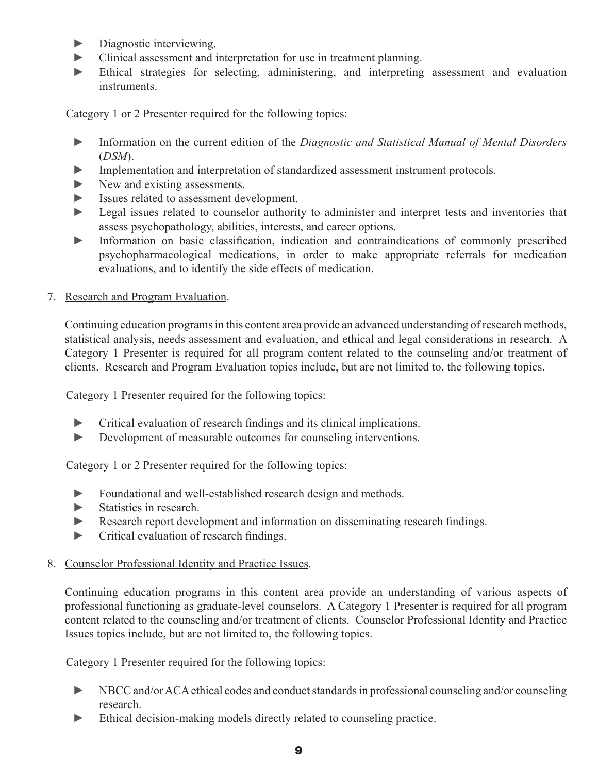- ► Diagnostic interviewing.
- ► Clinical assessment and interpretation for use in treatment planning.
- ► Ethical strategies for selecting, administering, and interpreting assessment and evaluation instruments.

 Category 1 or 2 Presenter required for the following topics:

- ► Information on the current edition of the *Diagnostic and Statistical Manual of Mental Disorders*  (*DSM*).
- ► Implementation and interpretation of standardized assessment instrument protocols.
- $\triangleright$  New and existing assessments.
- ► Issues related to assessment development.
- ► Legal issues related to counselor authority to administer and interpret tests and inventories that assess psychopathology, abilities, interests, and career options.
- ▶ Information on basic classification, indication and contraindications of commonly prescribed psychopharmacological medications, in order to make appropriate referrals for medication evaluations, and to identify the side effects of medication.
- 7. Research and Program Evaluation.

 Continuing education programsin this content area provide an advanced understanding of research methods, statistical analysis, needs assessment and evaluation, and ethical and legal considerations in research. A Category 1 Presenter is required for all program content related to the counseling and/or treatment of clients. Research and Program Evaluation topics include, but are not limited to, the following topics.

 Category 1 Presenter required for the following topics:

- ► Critical evaluation of research findings and its clinical implications.
- ► Development of measurable outcomes for counseling interventions.

 Category 1 or 2 Presenter required for the following topics:

- ► Foundational and well-established research design and methods.
- ► Statistics in research.
- ► Research report development and information on disseminating research findings.
- ► Critical evaluation of research findings.

#### 8. Counselor Professional Identity and Practice Issues.

Continuing education programs in this content area provide an understanding of various aspects of professional functioning as graduate-level counselors. A Category 1 Presenter is required for all program content related to the counseling and/or treatment of clients. Counselor Professional Identity and Practice Issues topics include, but are not limited to, the following topics.

 Category 1 Presenter required for the following topics:

- ► NBCC and/or ACA ethical codes and conduct standards in professional counseling and/or counseling research.
- ► Ethical decision-making models directly related to counseling practice.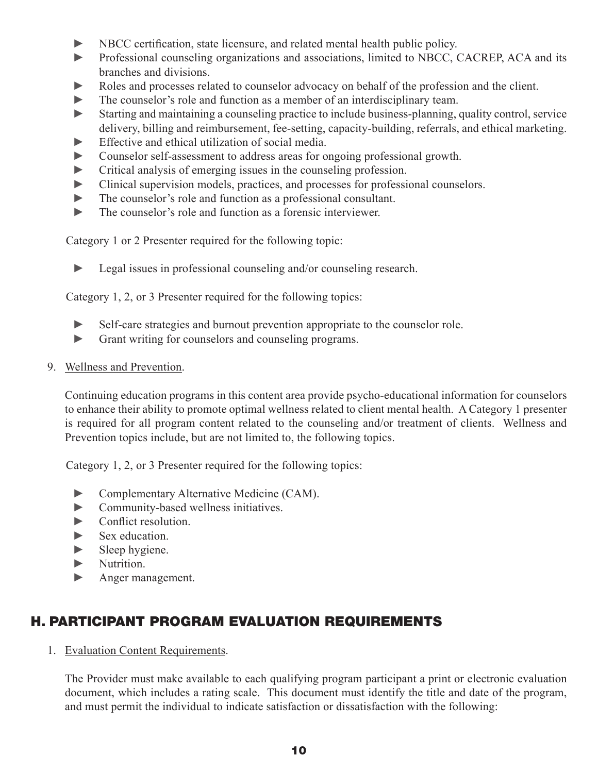- <span id="page-11-0"></span>► NBCC certification, state licensure, and related mental health public policy.
- ► Professional counseling organizations and associations, limited to NBCC, CACREP, ACA and its branches and divisions.
- ► Roles and processes related to counselor advocacy on behalf of the profession and the client.
- ► The counselor's role and function as a member of an interdisciplinary team.
- ► Starting and maintaining a counseling practice to include business-planning, quality control, service delivery, billing and reimbursement, fee-setting, capacity-building, referrals, and ethical marketing.
- $\blacktriangleright$  Effective and ethical utilization of social media.
- ► Counselor self-assessment to address areas for ongoing professional growth.
- ► Critical analysis of emerging issues in the counseling profession.
- ► Clinical supervision models, practices, and processes for professional counselors.
- ► The counselor's role and function as a professional consultant.
- $\blacktriangleright$  The counselor's role and function as a forensic interviewer.

 Category 1 or 2 Presenter required for the following topic:

► Legal issues in professional counseling and/or counseling research.

 Category 1, 2, or 3 Presenter required for the following topics:

- ► Self-care strategies and burnout prevention appropriate to the counselor role.
- ► Grant writing for counselors and counseling programs.
- 9. Wellness and Prevention.

Continuing education programs in this content area provide psycho-educational information for counselors to enhance their ability to promote optimal wellness related to client mental health. A Category 1 presenter is required for all program content related to the counseling and/or treatment of clients. Wellness and Prevention topics include, but are not limited to, the following topics.

 Category 1, 2, or 3 Presenter required for the following topics:

- ► Complementary Alternative Medicine (CAM).
- ► Community-based wellness initiatives.
- $\blacktriangleright$  Conflict resolution.
- ► Sex education.
- $\blacktriangleright$  Sleep hygiene.
- ► Nutrition.
- ► Anger management.

# H. PARTICIPANT PROGRAM EVALUATION REQUIREMENTS

1. Evaluation Content Requirements.

The Provider must make available to each qualifying program participant a print or electronic evaluation document, which includes a rating scale. This document must identify the title and date of the program, and must permit the individual to indicate satisfaction or dissatisfaction with the following: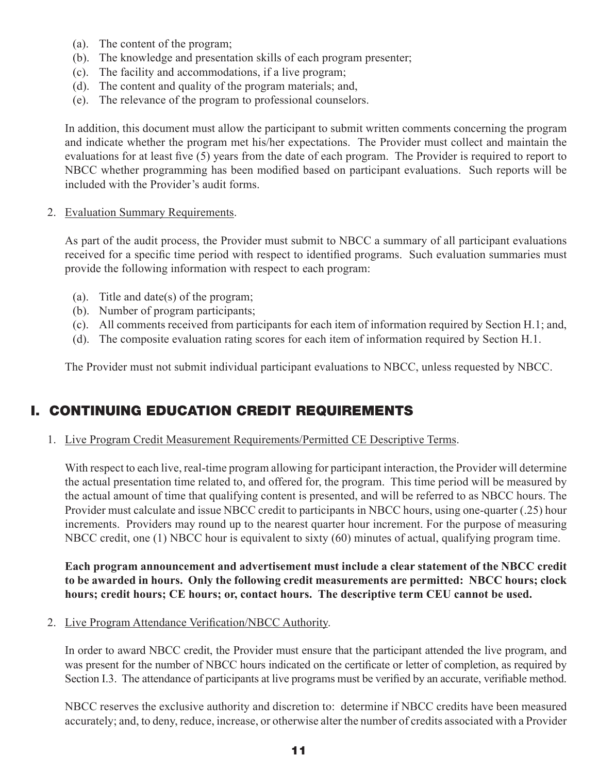- <span id="page-12-0"></span>(a). The content of the program;
- (b). The knowledge and presentation skills of each program presenter;
- (c). The facility and accommodations, if a live program;
- (d). The content and quality of the program materials; and,
- (e). The relevance of the program to professional counselors.

 In addition, this document must allow the participant to submit written comments concerning the program and indicate whether the program met his/her expectations. The Provider must collect and maintain the evaluations for at least five (5) years from the date of each program. The Provider is required to report to NBCC whether programming has been modified based on participant evaluations. Such reports will be included with the Provider's audit forms.

#### 2. Evaluation Summary Requirements.

 As part of the audit process, the Provider must submit to NBCC a summary of all participant evaluations received for a specific time period with respect to identified programs. Such evaluation summaries must provide the following information with respect to each program:

- (a). Title and date(s) of the program;
- (b). Number of program participants;
- (c). All comments received from participants for each item of information required by Section H.1; and,
- (d). The composite evaluation rating scores for each item of information required by Section H.1.

 The Provider must not submit individual participant evaluations to NBCC, unless requested by NBCC.

# I. CONTINUING EDUCATION CREDIT REQUIREMENTS

#### 1. Live Program Credit Measurement Requirements/Permitted CE Descriptive Terms.

With respect to each live, real-time program allowing for participant interaction, the Provider will determine the actual presentation time related to, and offered for, the program. This time period will be measured by the actual amount of time that qualifying content is presented, and will be referred to as NBCC hours. The Provider must calculate and issue NBCC credit to participants in NBCC hours, using one-quarter (.25) hour increments. Providers may round up to the nearest quarter hour increment. For the purpose of measuring NBCC credit, one (1) NBCC hour is equivalent to sixty (60) minutes of actual, qualifying program time.

**Each program announcement and advertisement must include a clear statement of the NBCC credit to be awarded in hours. Only the following credit measurements are permitted: NBCC hours; clock hours; credit hours; CE hours; or, contact hours. The descriptive term CEU cannot be used.** 

2. Live Program Attendance Verification/NBCC Authority.

 In order to award NBCC credit, the Provider must ensure that the participant attended the live program, and was present for the number of NBCC hours indicated on the certificate or letter of completion, as required by Section I.3. The attendance of participants at live programs must be verified by an accurate, verifiable method.

NBCC reserves the exclusive authority and discretion to: determine if NBCC credits have been measured accurately; and, to deny, reduce, increase, or otherwise alter the number of credits associated with a Provider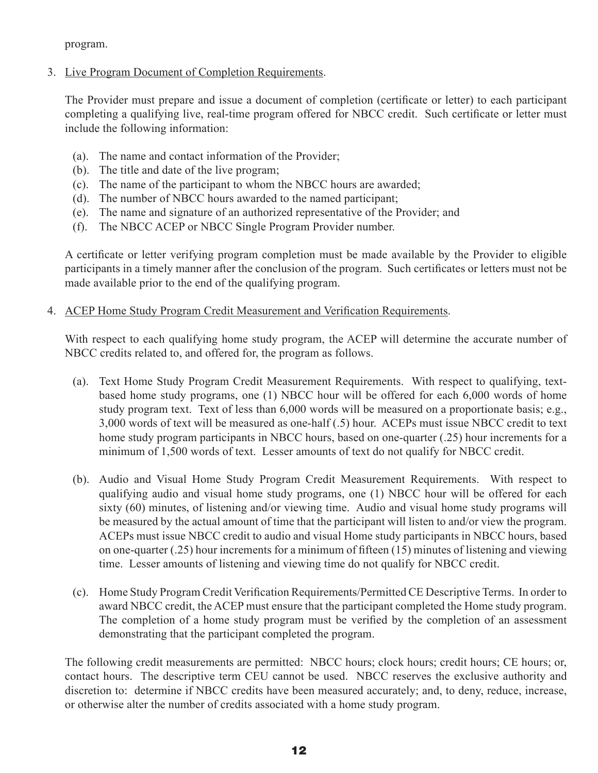program.

3. Live Program Document of Completion Requirements.

 The Provider must prepare and issue a document of completion (certificate or letter) to each participant completing a qualifying live, real-time program offered for NBCC credit. Such certificate or letter must include the following information:

- (a). The name and contact information of the Provider;
- (b). The title and date of the live program;
- (c). The name of the participant to whom the NBCC hours are awarded;
- (d). The number of NBCC hours awarded to the named participant;
- (e). The name and signature of an authorized representative of the Provider; and
- (f). The NBCC ACEP or NBCC Single Program Provider number.

 A certificate or letter verifying program completion must be made available by the Provider to eligible participants in a timely manner after the conclusion of the program. Such certificates or letters must not be made available prior to the end of the qualifying program.

#### 4. ACEP Home Study Program Credit Measurement and Verification Requirements.

 With respect to each qualifying home study program, the ACEP will determine the accurate number of NBCC credits related to, and offered for, the program as follows.

- (a). Text Home Study Program Credit Measurement Requirements. With respect to qualifying, textbased home study programs, one (1) NBCC hour will be offered for each 6,000 words of home study program text. Text of less than 6,000 words will be measured on a proportionate basis; e.g., 3,000 words of text will be measured as one-half (.5) hour. ACEPs must issue NBCC credit to text home study program participants in NBCC hours, based on one-quarter (.25) hour increments for a minimum of 1,500 words of text. Lesser amounts of text do not qualify for NBCC credit.
- (b). Audio and Visual Home Study Program Credit Measurement Requirements. With respect to qualifying audio and visual home study programs, one (1) NBCC hour will be offered for each sixty (60) minutes, of listening and/or viewing time. Audio and visual home study programs will be measured by the actual amount of time that the participant will listen to and/or view the program. ACEPs must issue NBCC credit to audio and visual Home study participants in NBCC hours, based on one-quarter (.25) hour increments for a minimum of fifteen (15) minutes of listening and viewing time. Lesser amounts of listening and viewing time do not qualify for NBCC credit.
- (c). Home Study Program Credit Verification Requirements/Permitted CE Descriptive Terms. In order to award NBCC credit, the ACEP must ensure that the participant completed the Home study program. The completion of a home study program must be verified by the completion of an assessment demonstrating that the participant completed the program.

 The following credit measurements are permitted: NBCC hours; clock hours; credit hours; CE hours; or, contact hours. The descriptive term CEU cannot be used. NBCC reserves the exclusive authority and discretion to: determine if NBCC credits have been measured accurately; and, to deny, reduce, increase, or otherwise alter the number of credits associated with a home study program.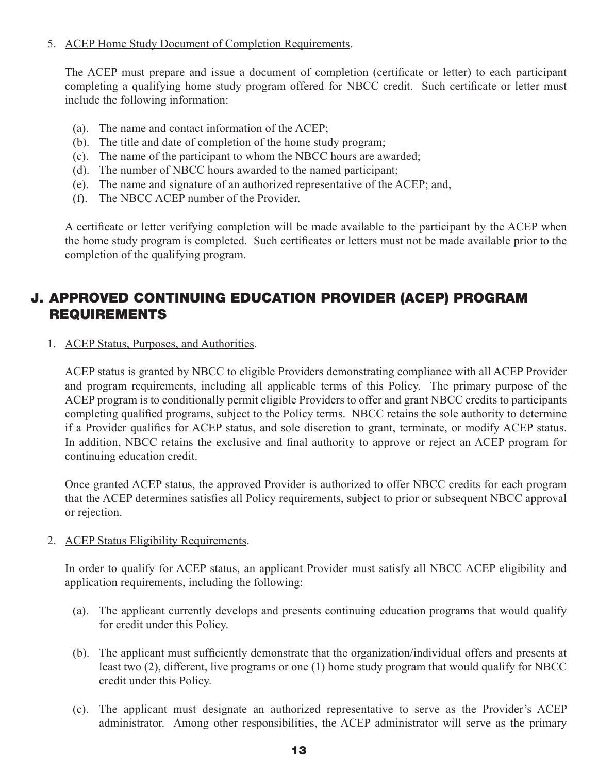<span id="page-14-0"></span>5. ACEP Home Study Document of Completion Requirements.

 The ACEP must prepare and issue a document of completion (certificate or letter) to each participant completing a qualifying home study program offered for NBCC credit. Such certificate or letter must include the following information:

- (a). The name and contact information of the ACEP;
- (b). The title and date of completion of the home study program;
- (c). The name of the participant to whom the NBCC hours are awarded;
- (d). The number of NBCC hours awarded to the named participant;
- (e). The name and signature of an authorized representative of the ACEP; and,
- (f). The NBCC ACEP number of the Provider.

 A certificate or letter verifying completion will be made available to the participant by the ACEP when the home study program is completed. Such certificates or letters must not be made available prior to the completion of the qualifying program.

## J. APPROVED CONTINUING EDUCATION PROVIDER (ACEP) PROGRAM REQUIREMENTS

1. ACEP Status, Purposes, and Authorities.

 ACEP status is granted by NBCC to eligible Providers demonstrating compliance with all ACEP Provider and program requirements, including all applicable terms of this Policy. The primary purpose of the ACEP program is to conditionally permit eligible Providers to offer and grant NBCC credits to participants completing qualified programs, subject to the Policy terms. NBCC retains the sole authority to determine if a Provider qualifies for ACEP status, and sole discretion to grant, terminate, or modify ACEP status. In addition, NBCC retains the exclusive and final authority to approve or reject an ACEP program for continuing education credit.

 Once granted ACEP status, the approved Provider is authorized to offer NBCC credits for each program that the ACEP determines satisfies all Policy requirements, subject to prior or subsequent NBCC approval or rejection.

2. ACEP Status Eligibility Requirements.

 In order to qualify for ACEP status, an applicant Provider must satisfy all NBCC ACEP eligibility and application requirements, including the following:

- (a). The applicant currently develops and presents continuing education programs that would qualify for credit under this Policy.
- (b). The applicant must sufficiently demonstrate that the organization/individual offers and presents at least two (2), different, live programs or one (1) home study program that would qualify for NBCC credit under this Policy.
- (c). The applicant must designate an authorized representative to serve as the Provider's ACEP administrator. Among other responsibilities, the ACEP administrator will serve as the primary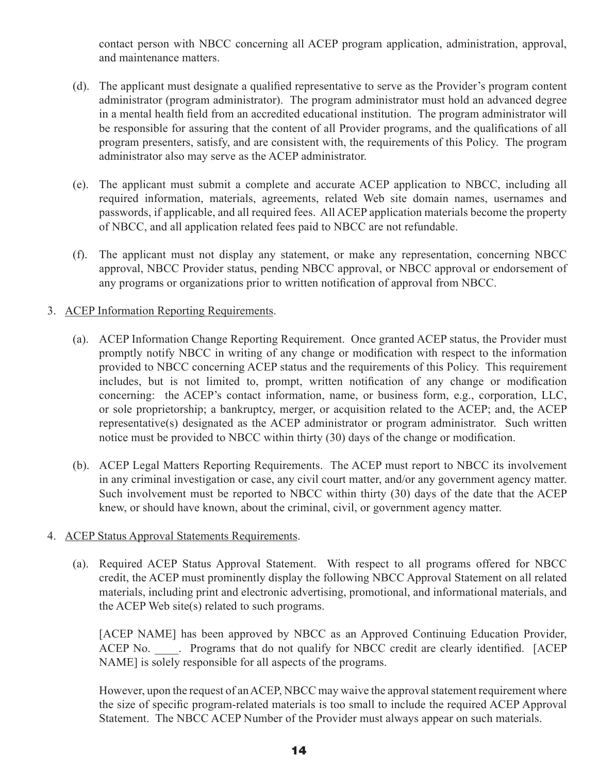contact person with NBCC concerning all ACEP program application, administration, approval, and maintenance matters.

- (d). The applicant must designate a qualified representative to serve as the Provider's program content administrator (program administrator). The program administrator must hold an advanced degree in a mental health field from an accredited educational institution. The program administrator will be responsible for assuring that the content of all Provider programs, and the qualifications of all program presenters, satisfy, and are consistent with, the requirements of this Policy. The program administrator also may serve as the ACEP administrator.
- (e). The applicant must submit a complete and accurate ACEP application to NBCC, including all required information, materials, agreements, related Web site domain names, usernames and passwords, if applicable, and all required fees. All ACEP application materials become the property of NBCC, and all application related fees paid to NBCC are not refundable.
- (f). The applicant must not display any statement, or make any representation, concerning NBCC approval, NBCC Provider status, pending NBCC approval, or NBCC approval or endorsement of any programs or organizations prior to written notification of approval from NBCC.
- 3. ACEP Information Reporting Requirements.
	- (a). ACEP Information Change Reporting Requirement. Once granted ACEP status, the Provider must promptly notify NBCC in writing of any change or modification with respect to the information provided to NBCC concerning ACEP status and the requirements of this Policy. This requirement includes, but is not limited to, prompt, written notification of any change or modification concerning: the ACEP's contact information, name, or business form, e.g., corporation, LLC, or sole proprietorship; a bankruptcy, merger, or acquisition related to the ACEP; and, the ACEP representative(s) designated as the ACEP administrator or program administrator. Such written notice must be provided to NBCC within thirty (30) days of the change or modification.
	- (b). ACEP Legal Matters Reporting Requirements. The ACEP must report to NBCC its involvement in any criminal investigation or case, any civil court matter, and/or any government agency matter. Such involvement must be reported to NBCC within thirty (30) days of the date that the ACEP knew, or should have known, about the criminal, civil, or government agency matter.
- 4. ACEP Status Approval Statements Requirements.
	- (a). Required ACEP Status Approval Statement. With respect to all programs offered for NBCC credit, the ACEP must prominently display the following NBCC Approval Statement on all related materials, including print and electronic advertising, promotional, and informational materials, and the ACEP Web site(s) related to such programs.

 [ACEP NAME] has been approved by NBCC as an Approved Continuing Education Provider, ACEP No. Frograms that do not qualify for NBCC credit are clearly identified. [ACEP NAME] is solely responsible for all aspects of the programs.

However, upon the request of an ACEP, NBCC may waive the approval statement requirement where the size of specific program-related materials is too small to include the required ACEP Approval Statement. The NBCC ACEP Number of the Provider must always appear on such materials.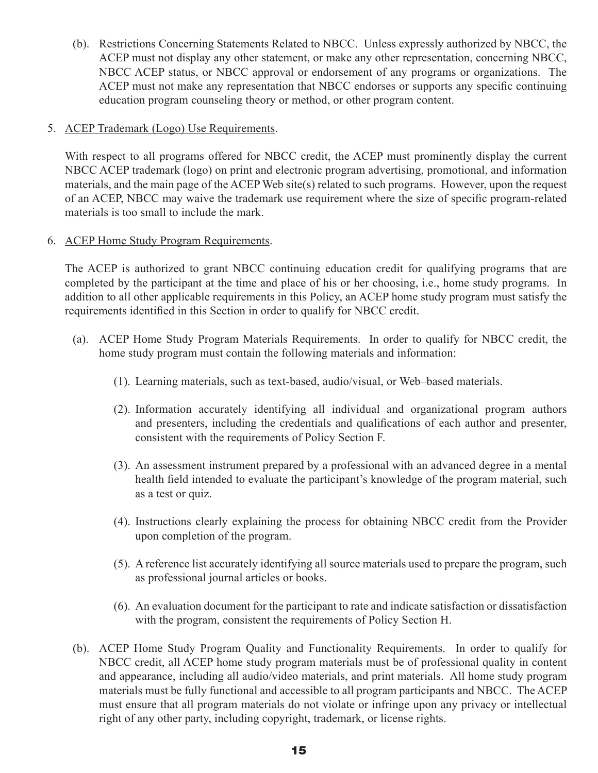(b). Restrictions Concerning Statements Related to NBCC. Unless expressly authorized by NBCC, the ACEP must not display any other statement, or make any other representation, concerning NBCC, NBCC ACEP status, or NBCC approval or endorsement of any programs or organizations. The ACEP must not make any representation that NBCC endorses or supports any specific continuing education program counseling theory or method, or other program content.

#### 5. ACEP Trademark (Logo) Use Requirements.

 With respect to all programs offered for NBCC credit, the ACEP must prominently display the current NBCC ACEP trademark (logo) on print and electronic program advertising, promotional, and information materials, and the main page of the ACEP Web site(s) related to such programs. However, upon the request of an ACEP, NBCC may waive the trademark use requirement where the size of specific program-related materials is too small to include the mark.

#### 6. ACEP Home Study Program Requirements.

The ACEP is authorized to grant NBCC continuing education credit for qualifying programs that are completed by the participant at the time and place of his or her choosing, i.e., home study programs. In addition to all other applicable requirements in this Policy, an ACEP home study program must satisfy the requirements identified in this Section in order to qualify for NBCC credit.

- (a). ACEP Home Study Program Materials Requirements. In order to qualify for NBCC credit, the home study program must contain the following materials and information:
	- (1). Learning materials, such as text-based, audio/visual, or Web–based materials.
	- (2). Information accurately identifying all individual and organizational program authors and presenters, including the credentials and qualifications of each author and presenter, consistent with the requirements of Policy Section F.
	- (3). An assessment instrument prepared by a professional with an advanced degree in a mental health field intended to evaluate the participant's knowledge of the program material, such as a test or quiz.
	- (4). Instructions clearly explaining the process for obtaining NBCC credit from the Provider upon completion of the program.
	- (5). A reference list accurately identifying all source materials used to prepare the program, such as professional journal articles or books.
	- (6). An evaluation document for the participant to rate and indicate satisfaction or dissatisfaction with the program, consistent the requirements of Policy Section H.
- (b). ACEP Home Study Program Quality and Functionality Requirements. In order to qualify for NBCC credit, all ACEP home study program materials must be of professional quality in content and appearance, including all audio/video materials, and print materials. All home study program materials must be fully functional and accessible to all program participants and NBCC. The ACEP must ensure that all program materials do not violate or infringe upon any privacy or intellectual right of any other party, including copyright, trademark, or license rights.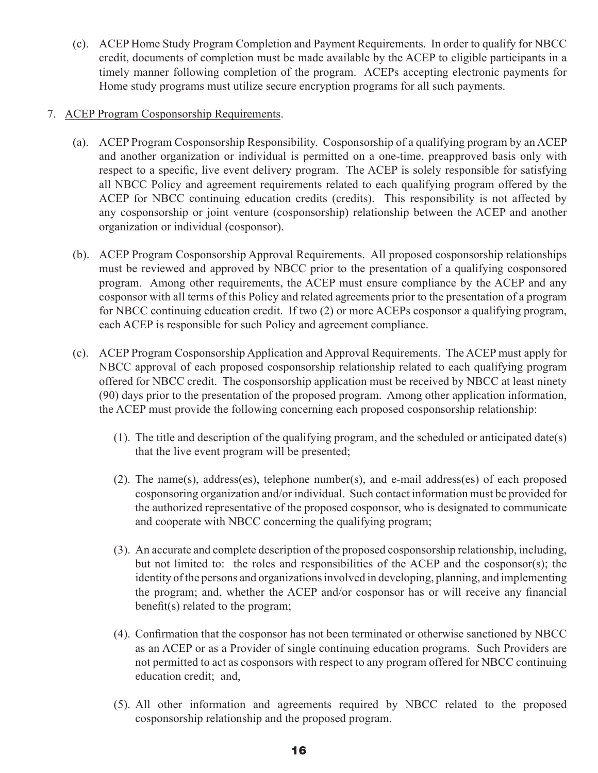- (c). ACEP Home Study Program Completion and Payment Requirements. In order to qualify for NBCC credit, documents of completion must be made available by the ACEP to eligible participants in a timely manner following completion of the program. ACEPs accepting electronic payments for Home study programs must utilize secure encryption programs for all such payments.
- 7. ACEP Program Cosponsorship Requirements.
	- (a). ACEP Program Cosponsorship Responsibility. Cosponsorship of a qualifying program by an ACEP and another organization or individual is permitted on a one-time, preapproved basis only with respect to a specific, live event delivery program. The ACEP is solely responsible for satisfying all NBCC Policy and agreement requirements related to each qualifying program offered by the ACEP for NBCC continuing education credits (credits). This responsibility is not affected by any cosponsorship or joint venture (cosponsorship) relationship between the ACEP and another organization or individual (cosponsor).
	- (b). ACEP Program Cosponsorship Approval Requirements. All proposed cosponsorship relationships must be reviewed and approved by NBCC prior to the presentation of a qualifying cosponsored program. Among other requirements, the ACEP must ensure compliance by the ACEP and any cosponsor with all terms of this Policy and related agreements prior to the presentation of a program for NBCC continuing education credit. If two (2) or more ACEPs cosponsor a qualifying program, each ACEP is responsible for such Policy and agreement compliance.
	- (c). ACEP Program Cosponsorship Application and Approval Requirements. The ACEP must apply for NBCC approval of each proposed cosponsorship relationship related to each qualifying program offered for NBCC credit. The cosponsorship application must be received by NBCC at least ninety (90) days prior to the presentation of the proposed program. Among other application information, the ACEP must provide the following concerning each proposed cosponsorship relationship:
		- $(1)$ . The title and description of the qualifying program, and the scheduled or anticipated date(s) that the live event program will be presented;
		- (2). The name(s), address(es), telephone number(s), and e-mail address(es) of each proposed cosponsoring organization and/or individual. Such contact information must be provided for the authorized representative of the proposed cosponsor, who is designated to communicate and cooperate with NBCC concerning the qualifying program;
		- (3). An accurate and complete description of the proposed cosponsorship relationship, including, but not limited to: the roles and responsibilities of the ACEP and the cosponsor(s); the identity of the persons and organizations involved in developing, planning, and implementing the program; and, whether the ACEP and/or cosponsor has or will receive any financial benefit(s) related to the program;
		- (4). Confirmation that the cosponsor has not been terminated or otherwise sanctioned by NBCC as an ACEP or as a Provider of single continuing education programs. Such Providers are not permitted to act as cosponsors with respect to any program offered for NBCC continuing education credit; and,
		- (5). All other information and agreements required by NBCC related to the proposed cosponsorship relationship and the proposed program.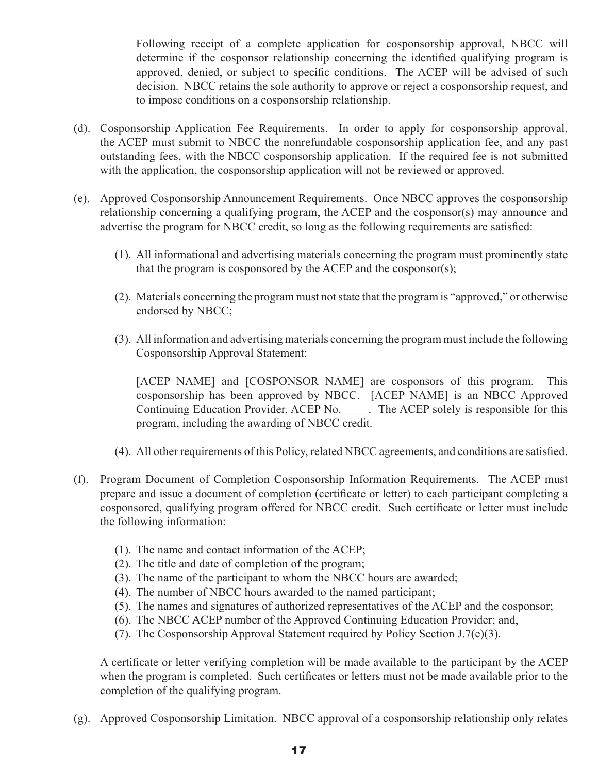Following receipt of a complete application for cosponsorship approval, NBCC will determine if the cosponsor relationship concerning the identified qualifying program is approved, denied, or subject to specific conditions. The ACEP will be advised of such decision. NBCC retains the sole authority to approve or reject a cosponsorship request, and to impose conditions on a cosponsorship relationship.

- (d). Cosponsorship Application Fee Requirements. In order to apply for cosponsorship approval, the ACEP must submit to NBCC the nonrefundable cosponsorship application fee, and any past outstanding fees, with the NBCC cosponsorship application. If the required fee is not submitted with the application, the cosponsorship application will not be reviewed or approved.
- (e). Approved Cosponsorship Announcement Requirements. Once NBCC approves the cosponsorship relationship concerning a qualifying program, the ACEP and the cosponsor(s) may announce and advertise the program for NBCC credit, so long as the following requirements are satisfied:
	- (1). All informational and advertising materials concerning the program must prominently state that the program is cosponsored by the ACEP and the cosponsor(s);
	- (2). Materials concerning the program must notstate that the program is "approved," or otherwise endorsed by NBCC;
	- (3). All information and advertising materials concerning the program must include the following Cosponsorship Approval Statement:

[ACEP NAME] and [COSPONSOR NAME] are cosponsors of this program. This cosponsorship has been approved by NBCC. [ACEP NAME] is an NBCC Approved Continuing Education Provider, ACEP No. The ACEP solely is responsible for this program, including the awarding of NBCC credit.

- (4). All other requirements of this Policy, related NBCC agreements, and conditions are satisfied.
- (f). Program Document of Completion Cosponsorship Information Requirements. The ACEP must prepare and issue a document of completion (certificate or letter) to each participant completing a cosponsored, qualifying program offered for NBCC credit. Such certificate or letter must include the following information:
	- $(1)$ . The name and contact information of the ACEP;
	- (2). The title and date of completion of the program;
	- (3). The name of the participant to whom the NBCC hours are awarded;
	- (4). The number of NBCC hours awarded to the named participant;
	- (5). The names and signatures of authorized representatives of the ACEP and the cosponsor;
	- (6). The NBCC ACEP number of the Approved Continuing Education Provider; and,
	- (7). The Cosponsorship Approval Statement required by Policy Section J.7(e)(3).

 A certificate or letter verifying completion will be made available to the participant by the ACEP when the program is completed. Such certificates or letters must not be made available prior to the completion of the qualifying program.

(g). Approved Cosponsorship Limitation. NBCC approval of a cosponsorship relationship only relates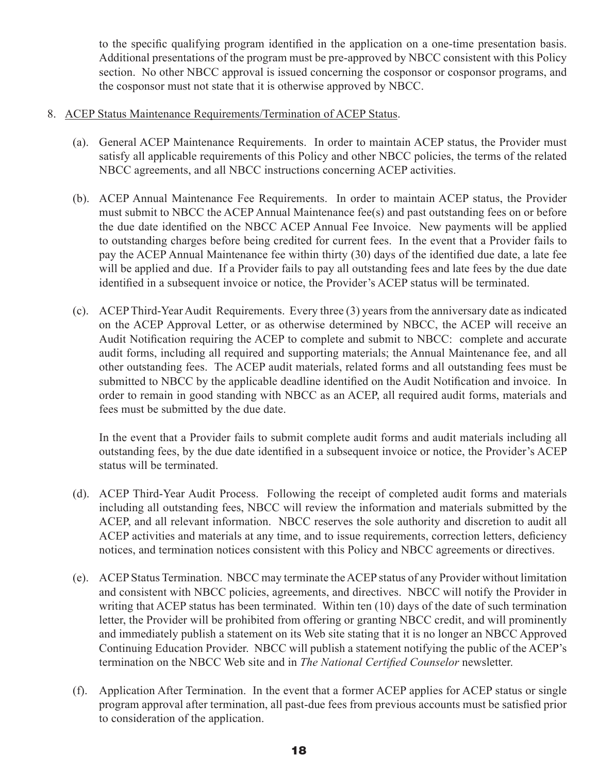to the specific qualifying program identified in the application on a one-time presentation basis. Additional presentations of the program must be pre-approved by NBCC consistent with this Policy section. No other NBCC approval is issued concerning the cosponsor or cosponsor programs, and the cosponsor must not state that it is otherwise approved by NBCC.

#### 8. ACEP Status Maintenance Requirements/Termination of ACEP Status.

- (a). General ACEP Maintenance Requirements. In order to maintain ACEP status, the Provider must satisfy all applicable requirements of this Policy and other NBCC policies, the terms of the related NBCC agreements, and all NBCC instructions concerning ACEP activities.
- (b). ACEP Annual Maintenance Fee Requirements. In order to maintain ACEP status, the Provider must submit to NBCC the ACEP Annual Maintenance fee(s) and past outstanding fees on or before the due date identified on the NBCC ACEP Annual Fee Invoice. New payments will be applied to outstanding charges before being credited for current fees. In the event that a Provider fails to pay the ACEP Annual Maintenance fee within thirty (30) days of the identified due date, a late fee will be applied and due. If a Provider fails to pay all outstanding fees and late fees by the due date identified in a subsequent invoice or notice, the Provider's ACEP status will be terminated.
- (c). ACEP Third-Year Audit Requirements. Every three (3) years from the anniversary date as indicated on the ACEP Approval Letter, or as otherwise determined by NBCC, the ACEP will receive an Audit Notification requiring the ACEP to complete and submit to NBCC: complete and accurate audit forms, including all required and supporting materials; the Annual Maintenance fee, and all other outstanding fees. The ACEP audit materials, related forms and all outstanding fees must be submitted to NBCC by the applicable deadline identified on the Audit Notification and invoice. In order to remain in good standing with NBCC as an ACEP, all required audit forms, materials and fees must be submitted by the due date.

In the event that a Provider fails to submit complete audit forms and audit materials including all outstanding fees, by the due date identified in a subsequent invoice or notice, the Provider's ACEP status will be terminated.

- (d). ACEP Third-Year Audit Process. Following the receipt of completed audit forms and materials including all outstanding fees, NBCC will review the information and materials submitted by the ACEP, and all relevant information. NBCC reserves the sole authority and discretion to audit all ACEP activities and materials at any time, and to issue requirements, correction letters, deficiency notices, and termination notices consistent with this Policy and NBCC agreements or directives.
- (e). ACEP Status Termination. NBCC may terminate theACEP status of any Provider without limitation and consistent with NBCC policies, agreements, and directives. NBCC will notify the Provider in writing that ACEP status has been terminated. Within ten (10) days of the date of such termination letter, the Provider will be prohibited from offering or granting NBCC credit, and will prominently and immediately publish a statement on its Web site stating that it is no longer an NBCC Approved Continuing Education Provider. NBCC will publish a statement notifying the public of the ACEP's termination on the NBCC Web site and in *The National Certified Counselor* newsletter.
- (f). Application After Termination. In the event that a former ACEP applies for ACEP status or single program approval after termination, all past-due fees from previous accounts must be satisfied prior to consideration of the application.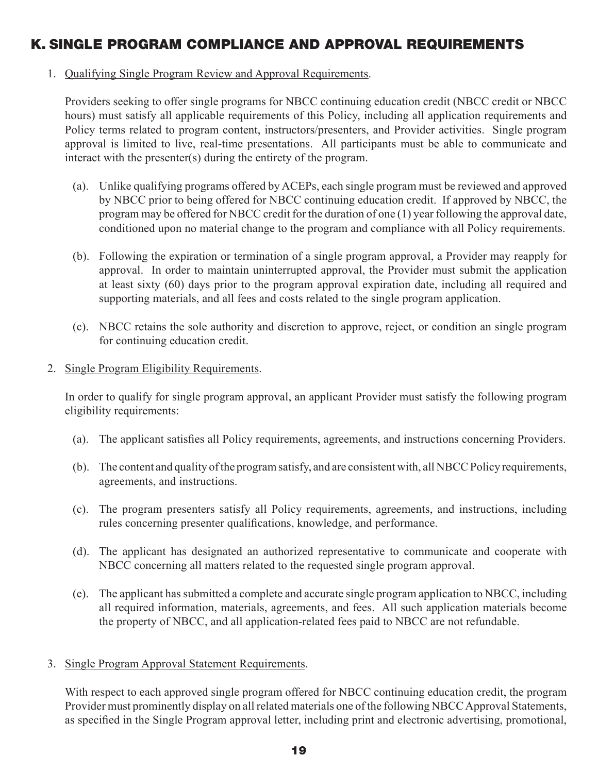# <span id="page-20-0"></span>K. SINGLE PROGRAM COMPLIANCE AND APPROVAL REQUIREMENTS

1. Qualifying Single Program Review and Approval Requirements.

Providers seeking to offer single programs for NBCC continuing education credit (NBCC credit or NBCC hours) must satisfy all applicable requirements of this Policy, including all application requirements and Policy terms related to program content, instructors/presenters, and Provider activities. Single program approval is limited to live, real-time presentations. All participants must be able to communicate and interact with the presenter(s) during the entirety of the program.

- (a). Unlike qualifying programs offered by ACEPs, each single program must be reviewed and approved by NBCC prior to being offered for NBCC continuing education credit. If approved by NBCC, the program may be offered for NBCC credit for the duration of one (1) year following the approval date, conditioned upon no material change to the program and compliance with all Policy requirements.
- (b). Following the expiration or termination of a single program approval, a Provider may reapply for approval. In order to maintain uninterrupted approval, the Provider must submit the application at least sixty (60) days prior to the program approval expiration date, including all required and supporting materials, and all fees and costs related to the single program application.
- (c). NBCC retains the sole authority and discretion to approve, reject, or condition an single program for continuing education credit.
- 2. Single Program Eligibility Requirements.

 In order to qualify for single program approval, an applicant Provider must satisfy the following program eligibility requirements:

- (a). The applicant satisfies all Policy requirements, agreements, and instructions concerning Providers.
- (b). The content and quality of the program satisfy, and are consistent with, all NBCC Policy requirements, agreements, and instructions.
- (c). The program presenters satisfy all Policy requirements, agreements, and instructions, including rules concerning presenter qualifications, knowledge, and performance.
- (d). The applicant has designated an authorized representative to communicate and cooperate with NBCC concerning all matters related to the requested single program approval.
- (e). The applicant hassubmitted a complete and accurate single program application to NBCC, including all required information, materials, agreements, and fees. All such application materials become the property of NBCC, and all application-related fees paid to NBCC are not refundable.
- 3. Single Program Approval Statement Requirements.

 With respect to each approved single program offered for NBCC continuing education credit, the program Provider must prominently display on all related materials one of the following NBCC Approval Statements, as specified in the Single Program approval letter, including print and electronic advertising, promotional,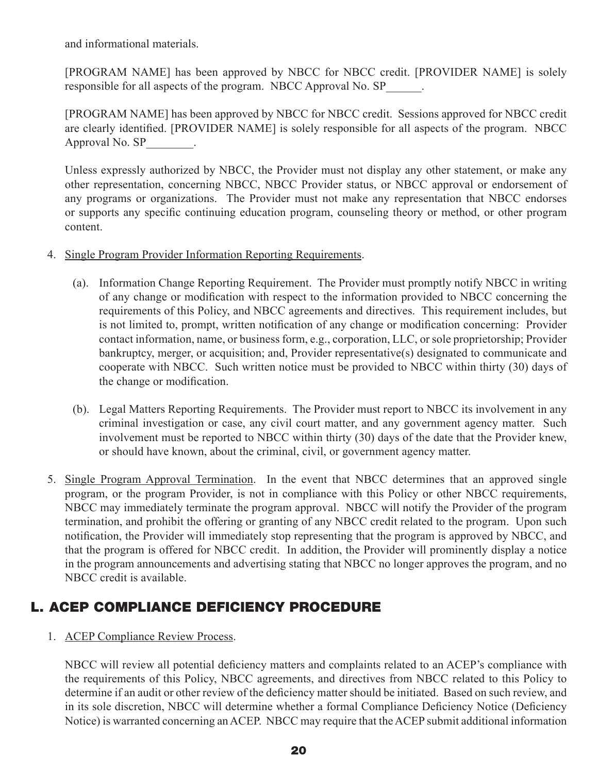<span id="page-21-0"></span>and informational materials.

[PROGRAM NAME] has been approved by NBCC for NBCC credit. [PROVIDER NAME] is solely responsible for all aspects of the program. NBCC Approval No. SP\_\_\_\_\_\_.

[PROGRAM NAME] has been approved by NBCC for NBCC credit. Sessions approved for NBCC credit are clearly identified. [PROVIDER NAME] is solely responsible for all aspects of the program. NBCC Approval No. SP .

 Unless expressly authorized by NBCC, the Provider must not display any other statement, or make any other representation, concerning NBCC, NBCC Provider status, or NBCC approval or endorsement of any programs or organizations. The Provider must not make any representation that NBCC endorses or supports any specific continuing education program, counseling theory or method, or other program content.

- 4. Single Program Provider Information Reporting Requirements.
	- (a). Information Change Reporting Requirement. The Provider must promptly notify NBCC in writing of any change or modification with respect to the information provided to NBCC concerning the requirements of this Policy, and NBCC agreements and directives. This requirement includes, but is not limited to, prompt, written notification of any change or modification concerning: Provider contact information, name, or business form, e.g., corporation, LLC, or sole proprietorship; Provider bankruptcy, merger, or acquisition; and, Provider representative(s) designated to communicate and cooperate with NBCC. Such written notice must be provided to NBCC within thirty (30) days of the change or modification.
	- (b). Legal Matters Reporting Requirements. The Provider must report to NBCC its involvement in any criminal investigation or case, any civil court matter, and any government agency matter. Such involvement must be reported to NBCC within thirty (30) days of the date that the Provider knew, or should have known, about the criminal, civil, or government agency matter.
- 5. Single Program Approval Termination. In the event that NBCC determines that an approved single program, or the program Provider, is not in compliance with this Policy or other NBCC requirements, NBCC may immediately terminate the program approval. NBCC will notify the Provider of the program termination, and prohibit the offering or granting of any NBCC credit related to the program. Upon such notification, the Provider will immediately stop representing that the program is approved by NBCC, and that the program is offered for NBCC credit. In addition, the Provider will prominently display a notice in the program announcements and advertising stating that NBCC no longer approves the program, and no NBCC credit is available.

# L. ACEP COMPLIANCE DEFICIENCY PROCEDURE

#### 1. ACEP Compliance Review Process.

 NBCC will review all potential deficiency matters and complaints related to an ACEP's compliance with the requirements of this Policy, NBCC agreements, and directives from NBCC related to this Policy to determine if an audit or other review of the deficiency matter should be initiated. Based on such review, and in its sole discretion, NBCC will determine whether a formal Compliance Deficiency Notice (Deficiency Notice) is warranted concerning anACEP. NBCC may require that theACEP submit additional information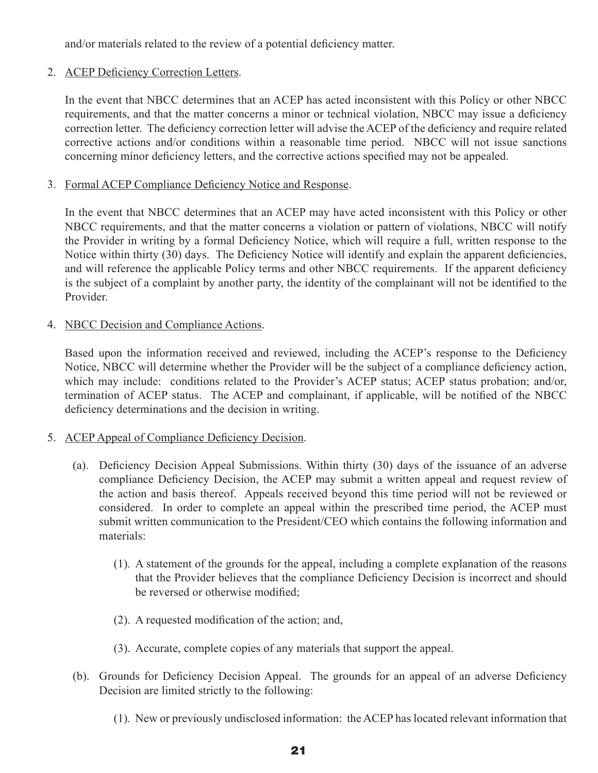and/or materials related to the review of a potential deficiency matter.

#### 2. ACEP Deficiency Correction Letters.

 In the event that NBCC determines that an ACEP has acted inconsistent with this Policy or other NBCC requirements, and that the matter concerns a minor or technical violation, NBCC may issue a deficiency correction letter. The deficiency correction letter will advise the ACEP of the deficiency and require related corrective actions and/or conditions within a reasonable time period. NBCC will not issue sanctions concerning minor deficiency letters, and the corrective actions specified may not be appealed.

#### 3. Formal ACEP Compliance Deficiency Notice and Response.

 In the event that NBCC determines that an ACEP may have acted inconsistent with this Policy or other NBCC requirements, and that the matter concerns a violation or pattern of violations, NBCC will notify the Provider in writing by a formal Deficiency Notice, which will require a full, written response to the Notice within thirty (30) days. The Deficiency Notice will identify and explain the apparent deficiencies, and will reference the applicable Policy terms and other NBCC requirements. If the apparent deficiency is the subject of a complaint by another party, the identity of the complainant will not be identified to the Provider.

#### 4. NBCC Decision and Compliance Actions.

 Based upon the information received and reviewed, including the ACEP's response to the Deficiency Notice, NBCC will determine whether the Provider will be the subject of a compliance deficiency action, which may include: conditions related to the Provider's ACEP status; ACEP status probation; and/or, termination of ACEP status. The ACEP and complainant, if applicable, will be notified of the NBCC deficiency determinations and the decision in writing.

#### 5. ACEP Appeal of Compliance Deficiency Decision.

- (a). Deficiency Decision Appeal Submissions. Within thirty (30) days of the issuance of an adverse compliance Deficiency Decision, the ACEP may submit a written appeal and request review of the action and basis thereof. Appeals received beyond this time period will not be reviewed or considered. In order to complete an appeal within the prescribed time period, the ACEP must submit written communication to the President/CEO which contains the following information and materials:
	- (1). A statement of the grounds for the appeal, including a complete explanation of the reasons that the Provider believes that the compliance Deficiency Decision is incorrect and should be reversed or otherwise modified;
	- (2). A requested modification of the action; and,
	- (3). Accurate, complete copies of any materials that support the appeal.
- (b). Grounds for Deficiency Decision Appeal. The grounds for an appeal of an adverse Deficiency Decision are limited strictly to the following:
	- (1). New or previously undisclosed information: the ACEP has located relevant information that